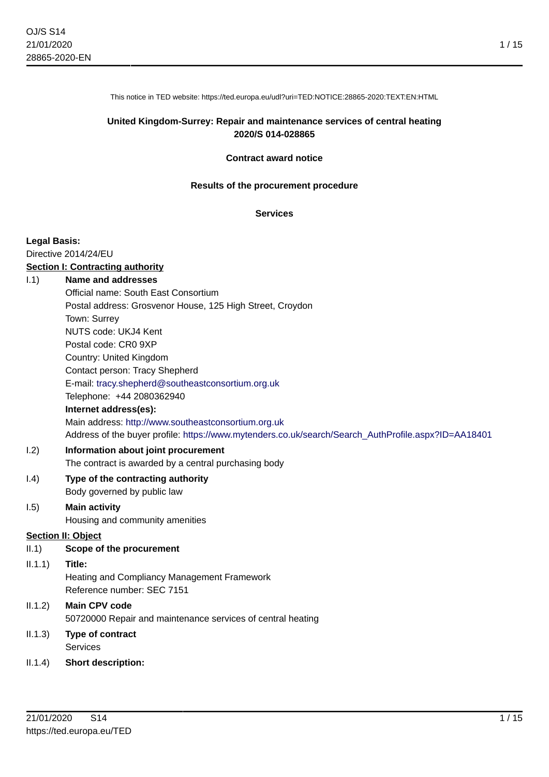1 / 15

This notice in TED website: https://ted.europa.eu/udl?uri=TED:NOTICE:28865-2020:TEXT:EN:HTML

#### **United Kingdom-Surrey: Repair and maintenance services of central heating 2020/S 014-028865**

#### **Contract award notice**

#### **Results of the procurement procedure**

#### **Services**

#### **Legal Basis:**

Directive 2014/24/EU

#### **Section I: Contracting authority**

### I.1) **Name and addresses**

|         | Official name: South East Consortium                                                                |
|---------|-----------------------------------------------------------------------------------------------------|
|         | Postal address: Grosvenor House, 125 High Street, Croydon                                           |
|         | Town: Surrey                                                                                        |
|         | NUTS code: UKJ4 Kent                                                                                |
|         | Postal code: CR0 9XP                                                                                |
|         | Country: United Kingdom                                                                             |
|         | Contact person: Tracy Shepherd                                                                      |
|         | E-mail: tracy.shepherd@southeastconsortium.org.uk                                                   |
|         | Telephone: +44 2080362940                                                                           |
|         | Internet address(es):                                                                               |
|         | Main address: http://www.southeastconsortium.org.uk                                                 |
|         | Address of the buyer profile: https://www.mytenders.co.uk/search/Search AuthProfile.aspx?ID=AA18401 |
| 1.2)    | Information about joint procurement                                                                 |
|         | The contract is awarded by a central purchasing body                                                |
| (0.4)   | Type of the contracting authority                                                                   |
|         | Body governed by public law                                                                         |
| 1.5)    | <b>Main activity</b>                                                                                |
|         | Housing and community amenities                                                                     |
|         | <b>Section II: Object</b>                                                                           |
| II.1)   | Scope of the procurement                                                                            |
| 11.1.1) | Title:                                                                                              |
|         | <b>Heating and Compliancy Management Framework</b>                                                  |
|         | Reference number: SEC 7151                                                                          |
| 11.1.2) | <b>Main CPV code</b>                                                                                |
|         | 50720000 Repair and maintenance services of central heating                                         |
| 11.1.3) | Type of contract                                                                                    |
|         | Services                                                                                            |

II.1.4) **Short description:**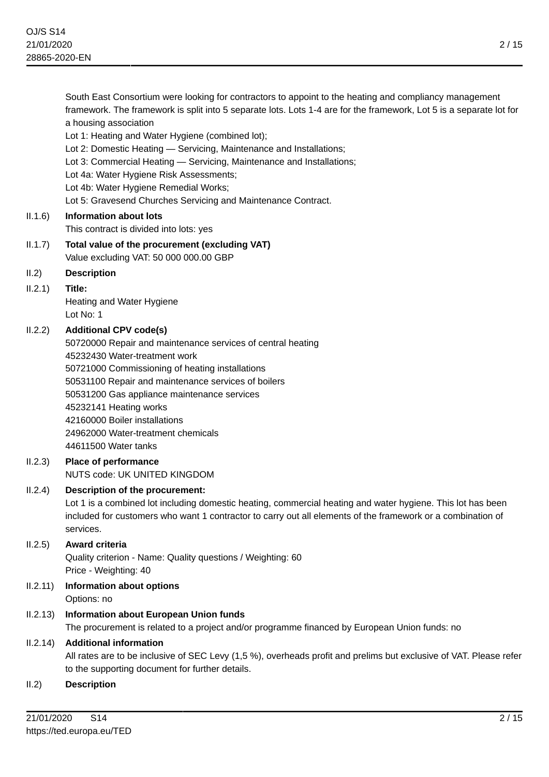| framework. The framework is split into 5 separate lots. Lots 1-4 are for the framework, Lot 5 is a separate lot for<br>a housing association |
|----------------------------------------------------------------------------------------------------------------------------------------------|
| Lot 1: Heating and Water Hygiene (combined lot);                                                                                             |
| Lot 2: Domestic Heating - Servicing, Maintenance and Installations;                                                                          |
| Lot 3: Commercial Heating - Servicing, Maintenance and Installations;                                                                        |
| Lot 4a: Water Hygiene Risk Assessments;                                                                                                      |
| Lot 4b: Water Hygiene Remedial Works;                                                                                                        |
| Lot 5: Gravesend Churches Servicing and Maintenance Contract.                                                                                |
| <b>Information about lots</b>                                                                                                                |
| This contract is divided into lots: yes                                                                                                      |
| Total value of the procurement (excluding VAT)                                                                                               |
| Value excluding VAT: 50 000 000.00 GBP                                                                                                       |
| <b>Description</b>                                                                                                                           |
| Title:                                                                                                                                       |
| Heating and Water Hygiene                                                                                                                    |
| Lot No: 1                                                                                                                                    |
| <b>Additional CPV code(s)</b>                                                                                                                |
| 50720000 Repair and maintenance services of central heating                                                                                  |
| 45232430 Water-treatment work                                                                                                                |
| 50721000 Commissioning of heating installations                                                                                              |
| 50531100 Repair and maintenance services of boilers                                                                                          |
| 50531200 Gas appliance maintenance services                                                                                                  |
| 45232141 Heating works                                                                                                                       |
| 42160000 Boiler installations                                                                                                                |
| 24962000 Water-treatment chemicals                                                                                                           |
| 44611500 Water tanks                                                                                                                         |
| <b>Place of performance</b>                                                                                                                  |
| NUTS code: UK UNITED KINGDOM                                                                                                                 |
| Description of the procurement:                                                                                                              |
| Lot 1 is a combined lot including domestic heating, commercial heating and water hygiene. This lot has been                                  |
| included for customers who want 1 contractor to carry out all elements of the framework or a combination of                                  |
| services.                                                                                                                                    |
| Award criteria                                                                                                                               |
| Quality criterion - Name: Quality questions / Weighting: 60                                                                                  |
| Price - Weighting: 40                                                                                                                        |
| <b>Information about options</b><br>Ontione: no                                                                                              |
|                                                                                                                                              |

South East Consortium were looking for contractors to appoint to the heating and compliancy management

Options: no

# II.2.13) **Information about European Union funds**

The procurement is related to a project and/or programme financed by European Union funds: no

# II.2.14) **Additional information**

All rates are to be inclusive of SEC Levy (1,5 %), overheads profit and prelims but exclusive of VAT. Please refer to the supporting document for further details.

# II.2) **Description**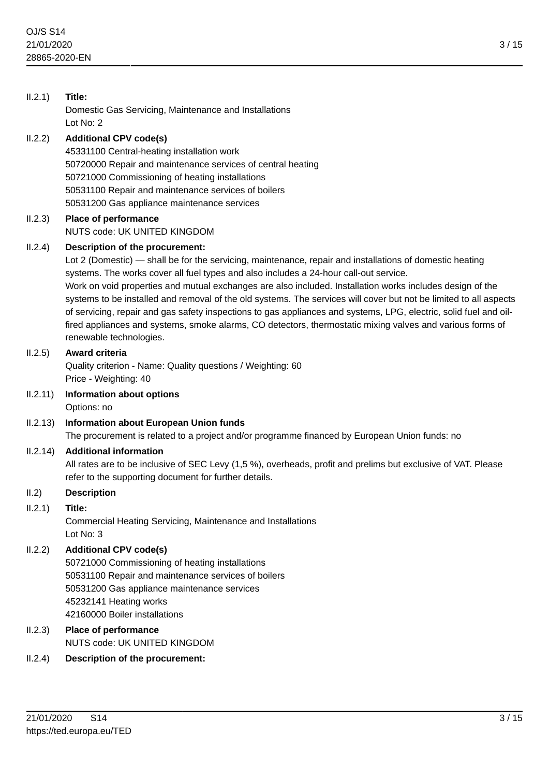| II.2.1)  | Title:<br>Domestic Gas Servicing, Maintenance and Installations<br>Lot No: 2                                                                                                                                                                                                                                                                                                                                                                                                                                                                                                                                                                                                                                                        |
|----------|-------------------------------------------------------------------------------------------------------------------------------------------------------------------------------------------------------------------------------------------------------------------------------------------------------------------------------------------------------------------------------------------------------------------------------------------------------------------------------------------------------------------------------------------------------------------------------------------------------------------------------------------------------------------------------------------------------------------------------------|
| II.2.2)  | <b>Additional CPV code(s)</b><br>45331100 Central-heating installation work<br>50720000 Repair and maintenance services of central heating<br>50721000 Commissioning of heating installations<br>50531100 Repair and maintenance services of boilers<br>50531200 Gas appliance maintenance services                                                                                                                                                                                                                                                                                                                                                                                                                                 |
| II.2.3)  | Place of performance<br>NUTS code: UK UNITED KINGDOM                                                                                                                                                                                                                                                                                                                                                                                                                                                                                                                                                                                                                                                                                |
| II.2.4)  | Description of the procurement:<br>Lot 2 (Domestic) — shall be for the servicing, maintenance, repair and installations of domestic heating<br>systems. The works cover all fuel types and also includes a 24-hour call-out service.<br>Work on void properties and mutual exchanges are also included. Installation works includes design of the<br>systems to be installed and removal of the old systems. The services will cover but not be limited to all aspects<br>of servicing, repair and gas safety inspections to gas appliances and systems, LPG, electric, solid fuel and oil-<br>fired appliances and systems, smoke alarms, CO detectors, thermostatic mixing valves and various forms of<br>renewable technologies. |
| II.2.5)  | Award criteria<br>Quality criterion - Name: Quality questions / Weighting: 60<br>Price - Weighting: 40                                                                                                                                                                                                                                                                                                                                                                                                                                                                                                                                                                                                                              |
| II.2.11) | Information about options<br>Options: no                                                                                                                                                                                                                                                                                                                                                                                                                                                                                                                                                                                                                                                                                            |
| II.2.13) | <b>Information about European Union funds</b><br>The procurement is related to a project and/or programme financed by European Union funds: no                                                                                                                                                                                                                                                                                                                                                                                                                                                                                                                                                                                      |
| II.2.14) | <b>Additional information</b><br>All rates are to be inclusive of SEC Levy (1,5 %), overheads, profit and prelims but exclusive of VAT. Please<br>refer to the supporting document for further details.                                                                                                                                                                                                                                                                                                                                                                                                                                                                                                                             |
| II.2)    | <b>Description</b>                                                                                                                                                                                                                                                                                                                                                                                                                                                                                                                                                                                                                                                                                                                  |
| II.2.1)  | Title:<br>Commercial Heating Servicing, Maintenance and Installations<br>Lot No: 3                                                                                                                                                                                                                                                                                                                                                                                                                                                                                                                                                                                                                                                  |
| II.2.2)  | <b>Additional CPV code(s)</b><br>50721000 Commissioning of heating installations<br>50531100 Repair and maintenance services of boilers<br>50531200 Gas appliance maintenance services<br>45232141 Heating works<br>42160000 Boiler installations                                                                                                                                                                                                                                                                                                                                                                                                                                                                                   |
| II.2.3)  | Place of performance<br>NUTS code: UK UNITED KINGDOM                                                                                                                                                                                                                                                                                                                                                                                                                                                                                                                                                                                                                                                                                |
| II.2.4)  | <b>Description of the procurement:</b>                                                                                                                                                                                                                                                                                                                                                                                                                                                                                                                                                                                                                                                                                              |
|          |                                                                                                                                                                                                                                                                                                                                                                                                                                                                                                                                                                                                                                                                                                                                     |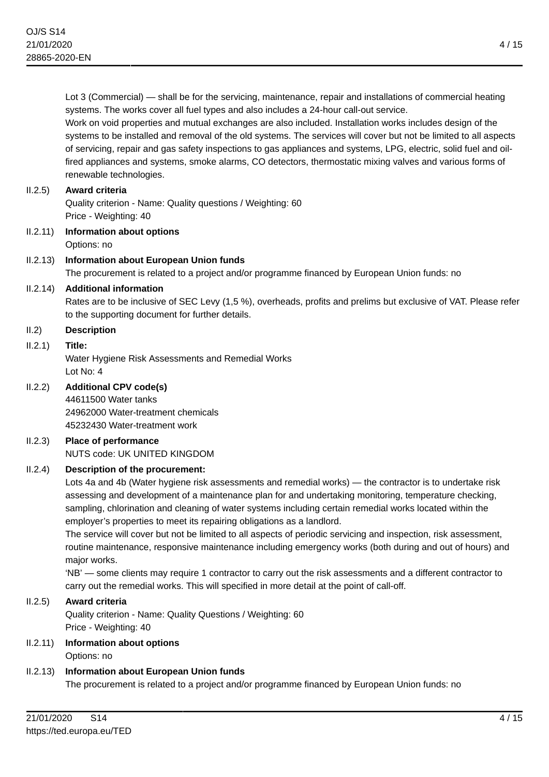Lot 3 (Commercial) — shall be for the servicing, maintenance, repair and installations of commercial heating systems. The works cover all fuel types and also includes a 24-hour call-out service. Work on void properties and mutual exchanges are also included. Installation works includes design of the

systems to be installed and removal of the old systems. The services will cover but not be limited to all aspects of servicing, repair and gas safety inspections to gas appliances and systems, LPG, electric, solid fuel and oilfired appliances and systems, smoke alarms, CO detectors, thermostatic mixing valves and various forms of renewable technologies.

### II.2.5) **Award criteria**

Quality criterion - Name: Quality questions / Weighting: 60 Price - Weighting: 40

- II.2.11) **Information about options** Options: no
- II.2.13) **Information about European Union funds** The procurement is related to a project and/or programme financed by European Union funds: no

### II.2.14) **Additional information**

Rates are to be inclusive of SEC Levy (1,5 %), overheads, profits and prelims but exclusive of VAT. Please refer to the supporting document for further details.

### II.2) **Description**

### II.2.1) **Title:**

Water Hygiene Risk Assessments and Remedial Works Lot No: 4

# II.2.2) **Additional CPV code(s)**

44611500 Water tanks 24962000 Water-treatment chemicals 45232430 Water-treatment work

#### II.2.3) **Place of performance** NUTS code: UK UNITED KINGDOM

### II.2.4) **Description of the procurement:**

Lots 4a and 4b (Water hygiene risk assessments and remedial works) — the contractor is to undertake risk assessing and development of a maintenance plan for and undertaking monitoring, temperature checking, sampling, chlorination and cleaning of water systems including certain remedial works located within the employer's properties to meet its repairing obligations as a landlord.

The service will cover but not be limited to all aspects of periodic servicing and inspection, risk assessment, routine maintenance, responsive maintenance including emergency works (both during and out of hours) and major works.

'NB' — some clients may require 1 contractor to carry out the risk assessments and a different contractor to carry out the remedial works. This will specified in more detail at the point of call-off.

### II.2.5) **Award criteria**

Quality criterion - Name: Quality Questions / Weighting: 60 Price - Weighting: 40

#### II.2.11) **Information about options** Options: no

# II.2.13) **Information about European Union funds**

The procurement is related to a project and/or programme financed by European Union funds: no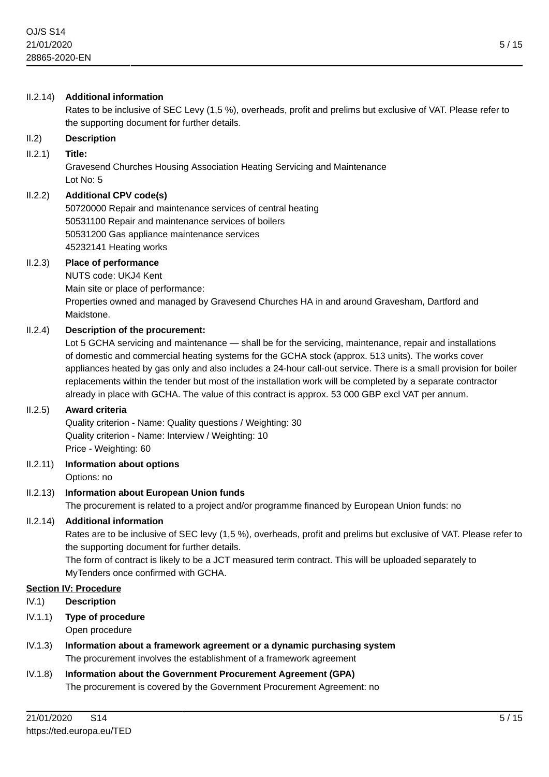### II.2.14) **Additional information**

Rates to be inclusive of SEC Levy (1,5 %), overheads, profit and prelims but exclusive of VAT. Please refer to the supporting document for further details.

### II.2) **Description**

### II.2.1) **Title:**

Gravesend Churches Housing Association Heating Servicing and Maintenance Lot No: 5

### II.2.2) **Additional CPV code(s)**

50720000 Repair and maintenance services of central heating 50531100 Repair and maintenance services of boilers 50531200 Gas appliance maintenance services 45232141 Heating works

### II.2.3) **Place of performance**

NUTS code: UKJ4 Kent Main site or place of performance: Properties owned and managed by Gravesend Churches HA in and around Gravesham, Dartford and Maidstone.

### II.2.4) **Description of the procurement:**

Lot 5 GCHA servicing and maintenance — shall be for the servicing, maintenance, repair and installations of domestic and commercial heating systems for the GCHA stock (approx. 513 units). The works cover appliances heated by gas only and also includes a 24-hour call-out service. There is a small provision for boiler replacements within the tender but most of the installation work will be completed by a separate contractor already in place with GCHA. The value of this contract is approx. 53 000 GBP excl VAT per annum.

### II.2.5) **Award criteria**

Quality criterion - Name: Quality questions / Weighting: 30 Quality criterion - Name: Interview / Weighting: 10 Price - Weighting: 60

II.2.11) **Information about options**

Options: no

# II.2.13) **Information about European Union funds**

The procurement is related to a project and/or programme financed by European Union funds: no

### II.2.14) **Additional information**

Rates are to be inclusive of SEC levy (1,5 %), overheads, profit and prelims but exclusive of VAT. Please refer to the supporting document for further details.

The form of contract is likely to be a JCT measured term contract. This will be uploaded separately to MyTenders once confirmed with GCHA.

### **Section IV: Procedure**

- IV.1) **Description**
- IV.1.1) **Type of procedure**

Open procedure

- IV.1.3) **Information about a framework agreement or a dynamic purchasing system** The procurement involves the establishment of a framework agreement
- IV.1.8) **Information about the Government Procurement Agreement (GPA)** The procurement is covered by the Government Procurement Agreement: no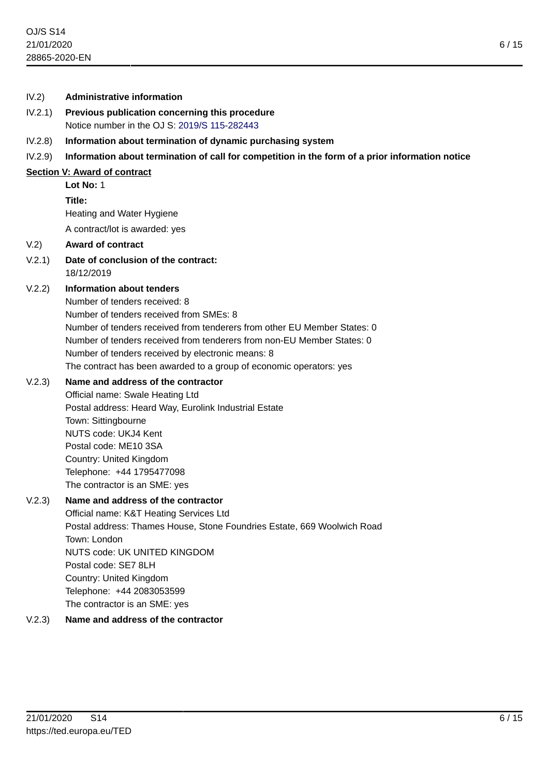#### IV.2) **Administrative information**

- IV.2.1) **Previous publication concerning this procedure** Notice number in the OJ S: [2019/S 115-282443](https://ted.europa.eu/udl?uri=TED:NOTICE:282443-2019:TEXT:EN:HTML)
- IV.2.8) **Information about termination of dynamic purchasing system**
- IV.2.9) **Information about termination of call for competition in the form of a prior information notice**

#### **Section V: Award of contract**

# **Lot No:** 1

**Title:**

Heating and Water Hygiene

A contract/lot is awarded: yes

### V.2) **Award of contract**

V.2.1) **Date of conclusion of the contract:** 18/12/2019

# V.2.2) **Information about tenders**

Number of tenders received: 8 Number of tenders received from SMEs: 8 Number of tenders received from tenderers from other EU Member States: 0 Number of tenders received from tenderers from non-EU Member States: 0 Number of tenders received by electronic means: 8 The contract has been awarded to a group of economic operators: yes

### V.2.3) **Name and address of the contractor**

Official name: Swale Heating Ltd Postal address: Heard Way, Eurolink Industrial Estate Town: Sittingbourne NUTS code: UKJ4 Kent Postal code: ME10 3SA Country: United Kingdom Telephone: +44 1795477098 The contractor is an SME: yes

### V.2.3) **Name and address of the contractor**

Official name: K&T Heating Services Ltd Postal address: Thames House, Stone Foundries Estate, 669 Woolwich Road Town: London NUTS code: UK UNITED KINGDOM Postal code: SE7 8LH Country: United Kingdom Telephone: +44 2083053599 The contractor is an SME: yes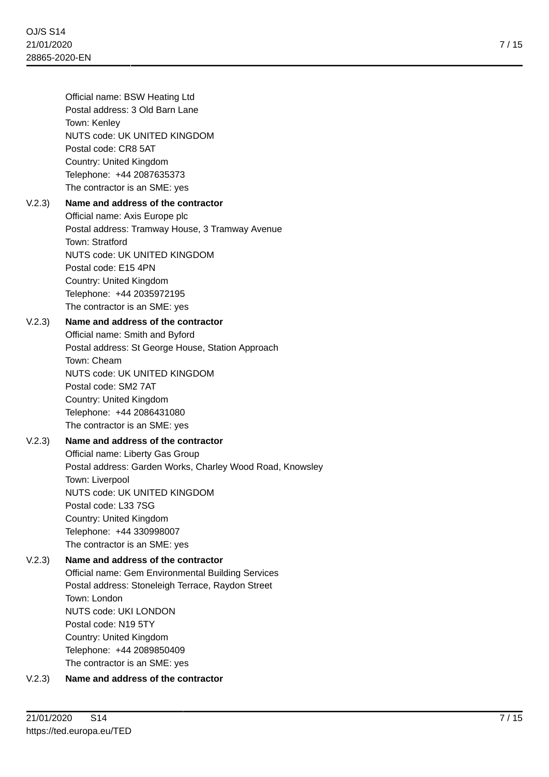Official name: BSW Heating Ltd Postal address: 3 Old Barn Lane Town: Kenley NUTS code: UK UNITED KINGDOM Postal code: CR8 5AT Country: United Kingdom Telephone: +44 2087635373 The contractor is an SME: yes

# V.2.3) **Name and address of the contractor**

Official name: Axis Europe plc Postal address: Tramway House, 3 Tramway Avenue Town: Stratford NUTS code: UK UNITED KINGDOM Postal code: E15 4PN Country: United Kingdom Telephone: +44 2035972195 The contractor is an SME: yes

# V.2.3) **Name and address of the contractor**

Official name: Smith and Byford Postal address: St George House, Station Approach Town: Cheam NUTS code: UK UNITED KINGDOM Postal code: SM2 7AT Country: United Kingdom Telephone: +44 2086431080 The contractor is an SME: yes

# V.2.3) **Name and address of the contractor**

Official name: Liberty Gas Group Postal address: Garden Works, Charley Wood Road, Knowsley Town: Liverpool NUTS code: UK UNITED KINGDOM Postal code: L33 7SG Country: United Kingdom Telephone: +44 330998007 The contractor is an SME: yes

# V.2.3) **Name and address of the contractor**

Official name: Gem Environmental Building Services Postal address: Stoneleigh Terrace, Raydon Street Town: London NUTS code: UKI LONDON Postal code: N19 5TY Country: United Kingdom Telephone: +44 2089850409 The contractor is an SME: yes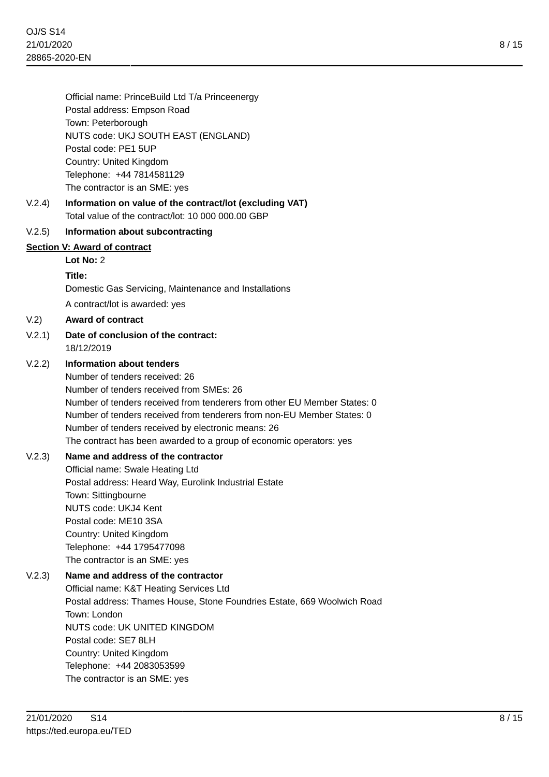Official name: PrinceBuild Ltd T/a Princeenergy Postal address: Empson Road Town: Peterborough NUTS code: UKJ SOUTH EAST (ENGLAND) Postal code: PE1 5UP Country: United Kingdom Telephone: +44 7814581129 The contractor is an SME: yes

# V.2.4) **Information on value of the contract/lot (excluding VAT)** Total value of the contract/lot: 10 000 000.00 GBP

# V.2.5) **Information about subcontracting**

### **Section V: Award of contract**

**Lot No:** 2

### **Title:**

Domestic Gas Servicing, Maintenance and Installations

A contract/lot is awarded: yes

V.2) **Award of contract**

V.2.1) **Date of conclusion of the contract:** 18/12/2019

### V.2.2) **Information about tenders**

Number of tenders received: 26 Number of tenders received from SMEs: 26 Number of tenders received from tenderers from other EU Member States: 0 Number of tenders received from tenderers from non-EU Member States: 0 Number of tenders received by electronic means: 26 The contract has been awarded to a group of economic operators: yes

# V.2.3) **Name and address of the contractor**

Official name: Swale Heating Ltd Postal address: Heard Way, Eurolink Industrial Estate Town: Sittingbourne NUTS code: UKJ4 Kent Postal code: ME10 3SA Country: United Kingdom Telephone: +44 1795477098 The contractor is an SME: yes

# V.2.3) **Name and address of the contractor** Official name: K&T Heating Services Ltd Postal address: Thames House, Stone Foundries Estate, 669 Woolwich Road Town: London NUTS code: UK UNITED KINGDOM Postal code: SE7 8LH Country: United Kingdom Telephone: +44 2083053599 The contractor is an SME: yes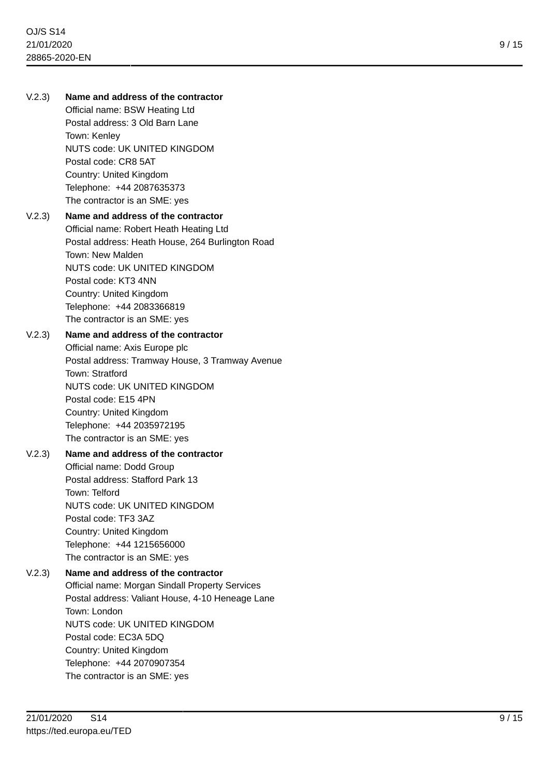# V.2.3) **Name and address of the contractor**

Official name: BSW Heating Ltd Postal address: 3 Old Barn Lane Town: Kenley NUTS code: UK UNITED KINGDOM Postal code: CR8 5AT Country: United Kingdom Telephone: +44 2087635373 The contractor is an SME: yes

# V.2.3) **Name and address of the contractor**

Official name: Robert Heath Heating Ltd Postal address: Heath House, 264 Burlington Road Town: New Malden NUTS code: UK UNITED KINGDOM Postal code: KT3 4NN Country: United Kingdom Telephone: +44 2083366819 The contractor is an SME: yes

### V.2.3) **Name and address of the contractor**

Official name: Axis Europe plc Postal address: Tramway House, 3 Tramway Avenue Town: Stratford NUTS code: UK UNITED KINGDOM Postal code: E15 4PN Country: United Kingdom Telephone: +44 2035972195 The contractor is an SME: yes

# V.2.3) **Name and address of the contractor**

Official name: Dodd Group Postal address: Stafford Park 13 Town: Telford NUTS code: UK UNITED KINGDOM Postal code: TF3 3AZ Country: United Kingdom Telephone: +44 1215656000 The contractor is an SME: yes

# V.2.3) **Name and address of the contractor** Official name: Morgan Sindall Property Services Postal address: Valiant House, 4-10 Heneage Lane Town: London

NUTS code: UK UNITED KINGDOM Postal code: EC3A 5DQ Country: United Kingdom Telephone: +44 2070907354 The contractor is an SME: yes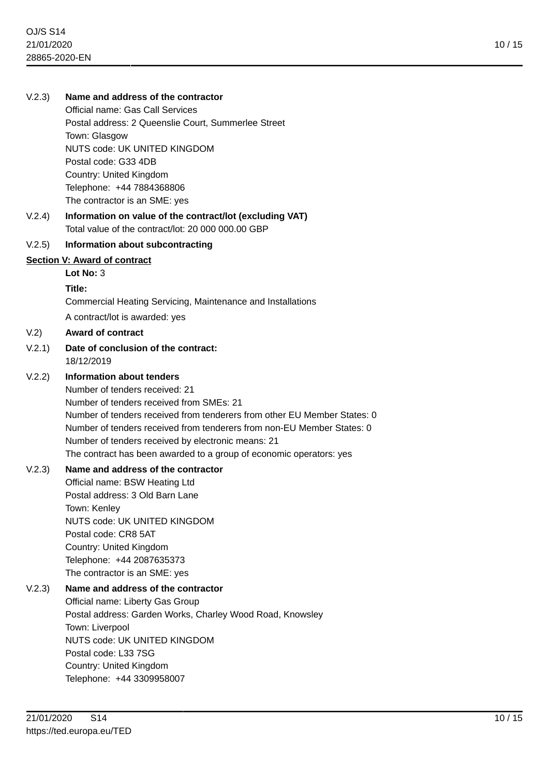### V.2.3) **Name and address of the contractor**

Official name: Gas Call Services Postal address: 2 Queenslie Court, Summerlee Street Town: Glasgow NUTS code: UK UNITED KINGDOM Postal code: G33 4DB Country: United Kingdom Telephone: +44 7884368806 The contractor is an SME: yes

V.2.4) **Information on value of the contract/lot (excluding VAT)** Total value of the contract/lot: 20 000 000.00 GBP

### V.2.5) **Information about subcontracting**

#### **Section V: Award of contract**

# **Lot No:** 3

#### **Title:**

Commercial Heating Servicing, Maintenance and Installations

A contract/lot is awarded: yes

#### V.2) **Award of contract**

V.2.1) **Date of conclusion of the contract:** 18/12/2019

#### V.2.2) **Information about tenders**

Number of tenders received: 21 Number of tenders received from SMEs: 21 Number of tenders received from tenderers from other EU Member States: 0 Number of tenders received from tenderers from non-EU Member States: 0 Number of tenders received by electronic means: 21 The contract has been awarded to a group of economic operators: yes

#### V.2.3) **Name and address of the contractor**

Official name: BSW Heating Ltd Postal address: 3 Old Barn Lane Town: Kenley NUTS code: UK UNITED KINGDOM Postal code: CR8 5AT Country: United Kingdom Telephone: +44 2087635373 The contractor is an SME: yes

### V.2.3) **Name and address of the contractor**

Official name: Liberty Gas Group Postal address: Garden Works, Charley Wood Road, Knowsley Town: Liverpool NUTS code: UK UNITED KINGDOM Postal code: L33 7SG Country: United Kingdom Telephone: +44 3309958007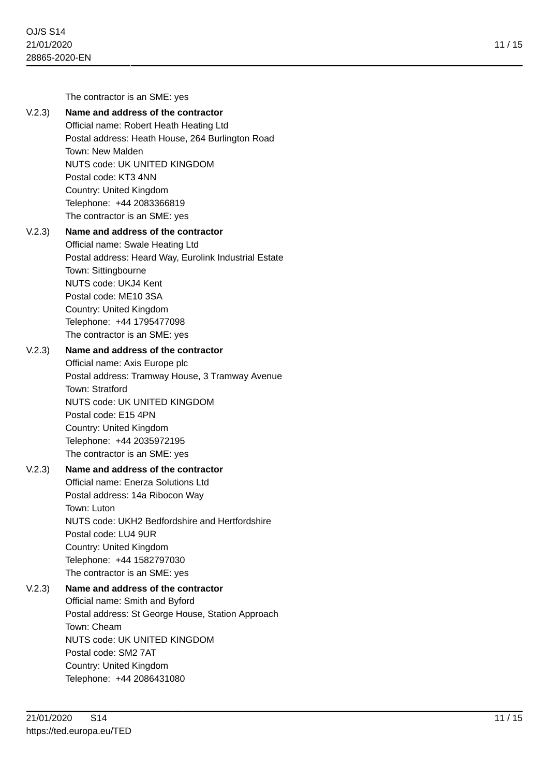The contractor is an SME: yes

# V.2.3) **Name and address of the contractor**

Official name: Robert Heath Heating Ltd Postal address: Heath House, 264 Burlington Road Town: New Malden NUTS code: UK UNITED KINGDOM Postal code: KT3 4NN Country: United Kingdom Telephone: +44 2083366819 The contractor is an SME: yes

# V.2.3) **Name and address of the contractor**

Official name: Swale Heating Ltd Postal address: Heard Way, Eurolink Industrial Estate Town: Sittingbourne NUTS code: UKJ4 Kent Postal code: ME10 3SA Country: United Kingdom Telephone: +44 1795477098 The contractor is an SME: yes

### V.2.3) **Name and address of the contractor**

Official name: Axis Europe plc Postal address: Tramway House, 3 Tramway Avenue Town: Stratford NUTS code: UK UNITED KINGDOM Postal code: E15 4PN Country: United Kingdom Telephone: +44 2035972195 The contractor is an SME: yes

# V.2.3) **Name and address of the contractor**

Official name: Enerza Solutions Ltd Postal address: 14a Ribocon Way Town: Luton NUTS code: UKH2 Bedfordshire and Hertfordshire Postal code: LU4 9UR Country: United Kingdom Telephone: +44 1582797030 The contractor is an SME: yes

# V.2.3) **Name and address of the contractor**

Official name: Smith and Byford Postal address: St George House, Station Approach Town: Cheam NUTS code: UK UNITED KINGDOM Postal code: SM2 7AT Country: United Kingdom Telephone: +44 2086431080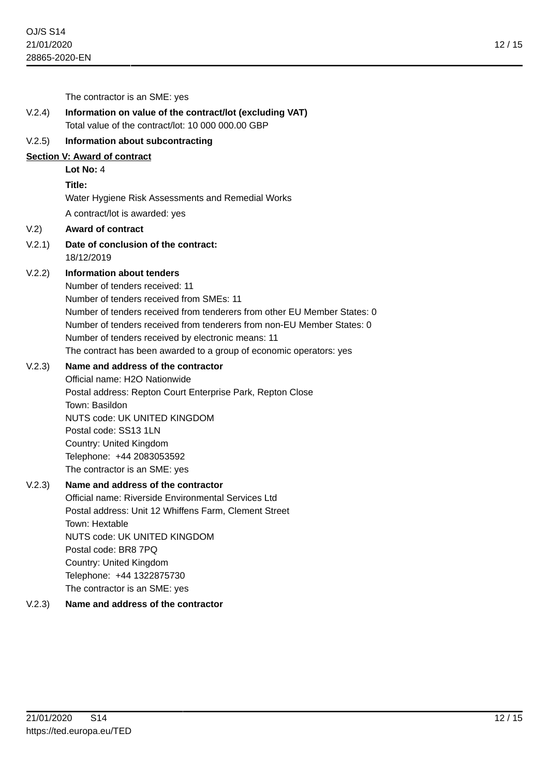The contractor is an SME: yes V.2.4) **Information on value of the contract/lot (excluding VAT)** Total value of the contract/lot: 10 000 000.00 GBP V.2.5) **Information about subcontracting Section V: Award of contract Lot No:** 4 **Title:** Water Hygiene Risk Assessments and Remedial Works A contract/lot is awarded: yes V.2) **Award of contract** V.2.1) **Date of conclusion of the contract:** 18/12/2019 V.2.2) **Information about tenders** Number of tenders received: 11 Number of tenders received from SMEs: 11

> Number of tenders received from tenderers from other EU Member States: 0 Number of tenders received from tenderers from non-EU Member States: 0 Number of tenders received by electronic means: 11 The contract has been awarded to a group of economic operators: yes

### V.2.3) **Name and address of the contractor**

Official name: H2O Nationwide Postal address: Repton Court Enterprise Park, Repton Close Town: Basildon NUTS code: UK UNITED KINGDOM Postal code: SS13 1LN Country: United Kingdom Telephone: +44 2083053592 The contractor is an SME: yes

# V.2.3) **Name and address of the contractor**

Official name: Riverside Environmental Services Ltd Postal address: Unit 12 Whiffens Farm, Clement Street Town: Hextable NUTS code: UK UNITED KINGDOM Postal code: BR8 7PQ Country: United Kingdom Telephone: +44 1322875730 The contractor is an SME: yes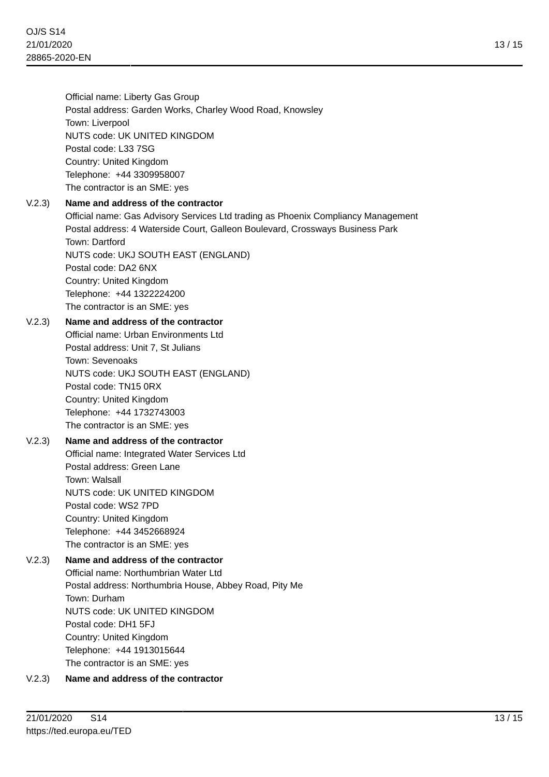Official name: Liberty Gas Group Postal address: Garden Works, Charley Wood Road, Knowsley Town: Liverpool NUTS code: UK UNITED KINGDOM Postal code: L33 7SG Country: United Kingdom Telephone: +44 3309958007 The contractor is an SME: yes

### V.2.3) **Name and address of the contractor**

Official name: Gas Advisory Services Ltd trading as Phoenix Compliancy Management Postal address: 4 Waterside Court, Galleon Boulevard, Crossways Business Park Town: Dartford NUTS code: UKJ SOUTH EAST (ENGLAND) Postal code: DA2 6NX Country: United Kingdom Telephone: +44 1322224200 The contractor is an SME: yes

### V.2.3) **Name and address of the contractor**

Official name: Urban Environments Ltd Postal address: Unit 7, St Julians Town: Sevenoaks NUTS code: UKJ SOUTH EAST (ENGLAND) Postal code: TN15 0RX Country: United Kingdom Telephone: +44 1732743003 The contractor is an SME: yes

# V.2.3) **Name and address of the contractor**

Official name: Integrated Water Services Ltd Postal address: Green Lane Town: Walsall NUTS code: UK UNITED KINGDOM Postal code: WS2 7PD Country: United Kingdom Telephone: +44 3452668924 The contractor is an SME: yes

# V.2.3) **Name and address of the contractor**

Official name: Northumbrian Water Ltd Postal address: Northumbria House, Abbey Road, Pity Me Town: Durham NUTS code: UK UNITED KINGDOM Postal code: DH1 5FJ Country: United Kingdom Telephone: +44 1913015644 The contractor is an SME: yes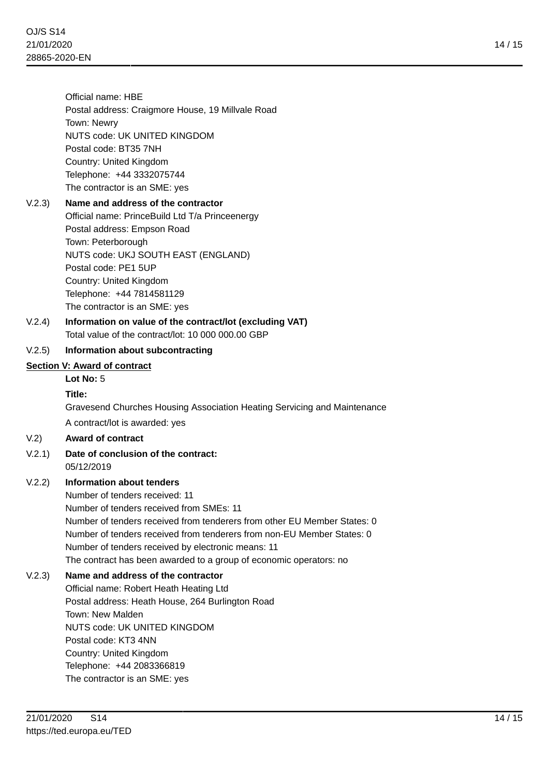Official name: HBE Postal address: Craigmore House, 19 Millvale Road Town: Newry NUTS code: UK UNITED KINGDOM Postal code: BT35 7NH Country: United Kingdom Telephone: +44 3332075744 The contractor is an SME: yes

# V.2.3) **Name and address of the contractor** Official name: PrinceBuild Ltd T/a Princeenergy Postal address: Empson Road Town: Peterborough NUTS code: UKJ SOUTH EAST (ENGLAND) Postal code: PE1 5UP Country: United Kingdom Telephone: +44 7814581129

The contractor is an SME: yes

# V.2.4) **Information on value of the contract/lot (excluding VAT)** Total value of the contract/lot: 10 000 000.00 GBP

# V.2.5) **Information about subcontracting**

# **Section V: Award of contract**

# **Lot No:** 5

# **Title:**

Gravesend Churches Housing Association Heating Servicing and Maintenance A contract/lot is awarded: yes

# V.2) **Award of contract**

# V.2.1) **Date of conclusion of the contract:** 05/12/2019

# V.2.2) **Information about tenders**

Number of tenders received: 11 Number of tenders received from SMEs: 11 Number of tenders received from tenderers from other EU Member States: 0 Number of tenders received from tenderers from non-EU Member States: 0 Number of tenders received by electronic means: 11 The contract has been awarded to a group of economic operators: no

# V.2.3) **Name and address of the contractor**

Official name: Robert Heath Heating Ltd Postal address: Heath House, 264 Burlington Road Town: New Malden NUTS code: UK UNITED KINGDOM Postal code: KT3 4NN Country: United Kingdom Telephone: +44 2083366819 The contractor is an SME: yes